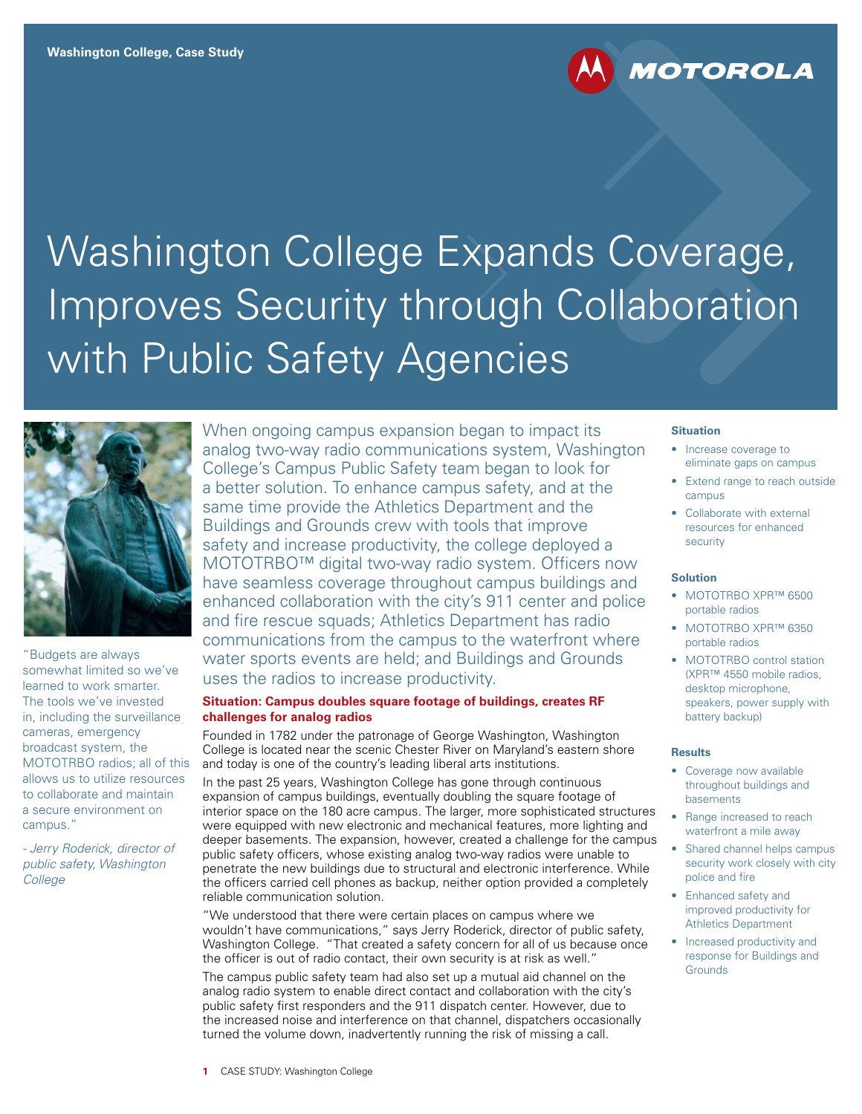# Washington College Expands Coverage, Improves Security through Collaboration with Public Safety Agencies



"Budgets are always somewhat limited so we've learned to work smarter. The tools we've invested in, including the surveillance cameras, emergency broadcast system, the MOTOTRBO radios; all of this allows us to utilize resources to collaborate and maintain a secure environment on campus."

*- Jerry Roderick, director of public safety, Washington College*

When ongoing campus expansion began to impact its analog two-way radio communications system, Washington College's Campus Public Safety team began to look for a better solution. To enhance campus safety, and at the same time provide the Athletics Department and the Buildings and Grounds crew with tools that improve safety and increase productivity, the college deployed a MOTOTRBO™ digital two-way radio system. Officers now have seamless coverage throughout campus buildings and enhanced collaboration with the city's 911 center and police and fire rescue squads; Athletics Department has radio communications from the campus to the waterfront where water sports events are held; and Buildings and Grounds uses the radios to increase productivity.

# **Situation: Campus doubles square footage of buildings, creates RF challenges for analog radios**

Founded in 1782 under the patronage of George Washington, Washington College is located near the scenic Chester River on Maryland's eastern shore and today is one of the country's leading liberal arts institutions.

In the past 25 years, Washington College has gone through continuous expansion of campus buildings, eventually doubling the square footage of interior space on the 180 acre campus. The larger, more sophisticated structures were equipped with new electronic and mechanical features, more lighting and deeper basements. The expansion, however, created a challenge for the campus public safety officers, whose existing analog two-way radios were unable to penetrate the new buildings due to structural and electronic interference. While the officers carried cell phones as backup, neither option provided a completely reliable communication solution.

"We understood that there were certain places on campus where we wouldn't have communications," says Jerry Roderick, director of public safety, Washington College. "That created a safety concern for all of us because once the officer is out of radio contact, their own security is at risk as well."

The campus public safety team had also set up a mutual aid channel on the analog radio system to enable direct contact and collaboration with the city's public safety first responders and the 911 dispatch center. However, due to the increased noise and interference on that channel, dispatchers occasionally turned the volume down, inadvertently running the risk of missing a call.

# **Situation**

**MOTOROLA** 

- Increase coverage to eliminate gaps on campus
- Extend range to reach outside campus
- Collaborate with external resources for enhanced security

### **Solution**

- MOTOTRBO XPR™ 6500 portable radios
- MOTOTRBO XPR™ 6350 portable radios
- MOTOTRBO control station (XPR™ 4550 mobile radios, desktop microphone, speakers, power supply with battery backup)

#### **Results**

- Coverage now available throughout buildings and basements
- Range increased to reach waterfront a mile away
- Shared channel helps campus security work closely with city police and fire
- Enhanced safety and improved productivity for Athletics Department
- Increased productivity and response for Buildings and **Grounds**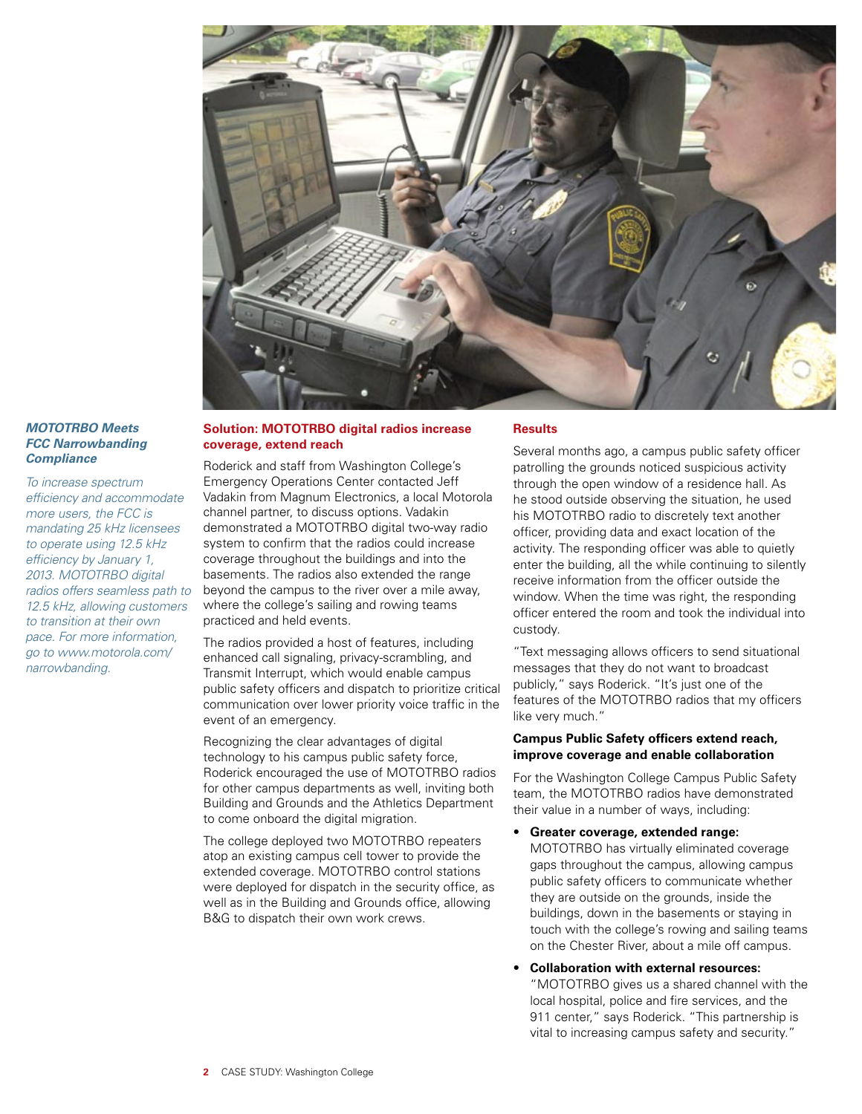

# *MOTOTRBO Meets FCC Narrowbanding Compliance*

*To increase spectrum efficiency and accommodate more users, the FCC is mandating 25 kHz licensees to operate using 12.5 kHz efficiency by January 1, 2013. MOTOTRBO digital radios offers seamless path to 12.5 kHz, allowing customers to transition at their own pace. For more information, go to www.motorola.com/ narrowbanding.* 

# **Solution: MOTOTRBO digital radios increase coverage, extend reach**

Roderick and staff from Washington College's Emergency Operations Center contacted Jeff Vadakin from Magnum Electronics, a local Motorola channel partner, to discuss options. Vadakin demonstrated a MOTOTRBO digital two-way radio system to confirm that the radios could increase coverage throughout the buildings and into the basements. The radios also extended the range beyond the campus to the river over a mile away, where the college's sailing and rowing teams practiced and held events.

The radios provided a host of features, including enhanced call signaling, privacy-scrambling, and Transmit Interrupt, which would enable campus public safety officers and dispatch to prioritize critical communication over lower priority voice traffic in the event of an emergency.

Recognizing the clear advantages of digital technology to his campus public safety force, Roderick encouraged the use of MOTOTRBO radios for other campus departments as well, inviting both Building and Grounds and the Athletics Department to come onboard the digital migration.

The college deployed two MOTOTRBO repeaters atop an existing campus cell tower to provide the extended coverage. MOTOTRBO control stations were deployed for dispatch in the security office, as well as in the Building and Grounds office, allowing B&G to dispatch their own work crews.

# **Results**

Several months ago, a campus public safety officer patrolling the grounds noticed suspicious activity through the open window of a residence hall. As he stood outside observing the situation, he used his MOTOTRBO radio to discretely text another officer, providing data and exact location of the activity. The responding officer was able to quietly enter the building, all the while continuing to silently receive information from the officer outside the window. When the time was right, the responding officer entered the room and took the individual into custody.

"Text messaging allows officers to send situational messages that they do not want to broadcast publicly," says Roderick. "It's just one of the features of the MOTOTRBO radios that my officers like very much."

## **Campus Public Safety officers extend reach, improve coverage and enable collaboration**

For the Washington College Campus Public Safety team, the MOTOTRBO radios have demonstrated their value in a number of ways, including:

### • **Greater coverage, extended range:**

MOTOTRBO has virtually eliminated coverage gaps throughout the campus, allowing campus public safety officers to communicate whether they are outside on the grounds, inside the buildings, down in the basements or staying in touch with the college's rowing and sailing teams on the Chester River, about a mile off campus.

• **Collaboration with external resources:** "MOTOTRBO gives us a shared channel with the local hospital, police and fire services, and the 911 center," says Roderick. "This partnership is vital to increasing campus safety and security."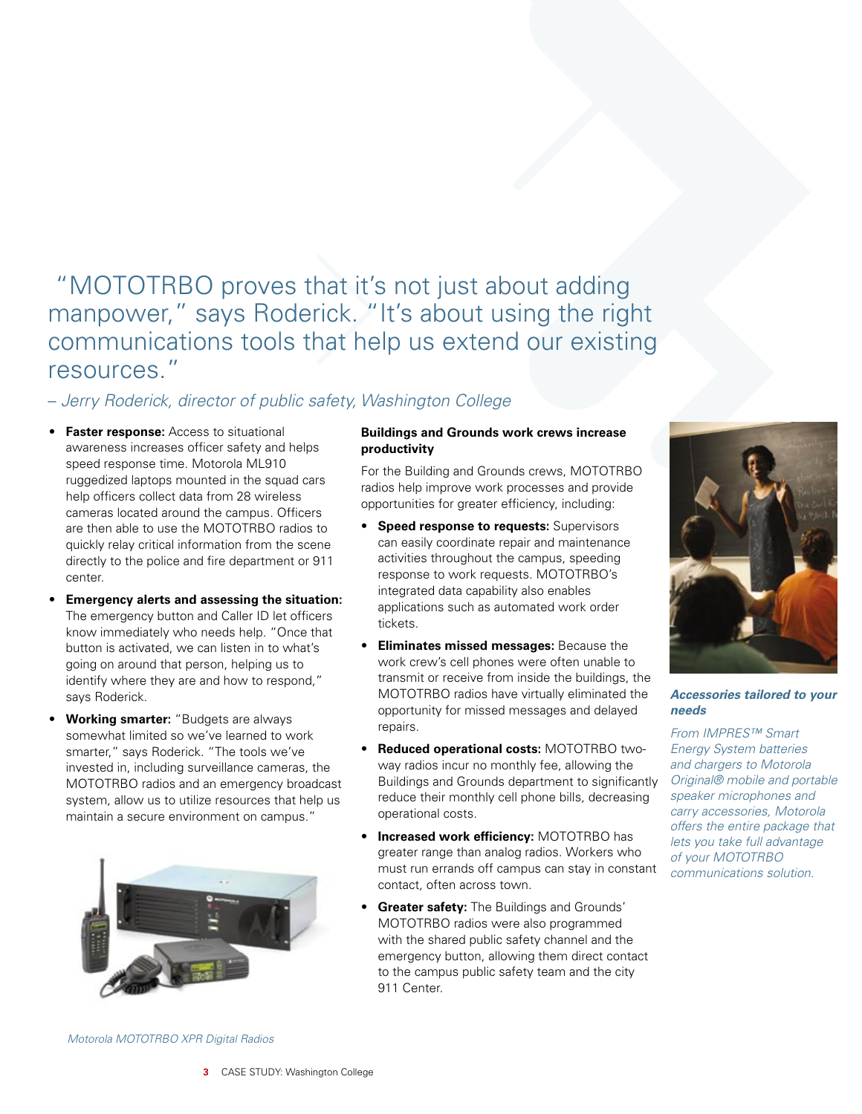# "MOTOTRBO proves that it's not just about adding manpower," says Roderick. "It's about using the right communications tools that help us extend our existing resources."

# – *Jerry Roderick, director of public safety, Washington College*

- **Faster response:** Access to situational awareness increases officer safety and helps speed response time. Motorola ML910 ruggedized laptops mounted in the squad cars help officers collect data from 28 wireless cameras located around the campus. Officers are then able to use the MOTOTRBO radios to quickly relay critical information from the scene directly to the police and fire department or 911 center.
- **Emergency alerts and assessing the situation:**  The emergency button and Caller ID let officers know immediately who needs help. "Once that button is activated, we can listen in to what's going on around that person, helping us to identify where they are and how to respond," says Roderick.
- **Working smarter:** "Budgets are always somewhat limited so we've learned to work smarter," says Roderick. "The tools we've invested in, including surveillance cameras, the MOTOTRBO radios and an emergency broadcast system, allow us to utilize resources that help us maintain a secure environment on campus."



# **Buildings and Grounds work crews increase productivity**

For the Building and Grounds crews, MOTOTRBO radios help improve work processes and provide opportunities for greater efficiency, including:

- **Speed response to requests:** Supervisors can easily coordinate repair and maintenance activities throughout the campus, speeding response to work requests. MOTOTRBO's integrated data capability also enables applications such as automated work order tickets.
- **Eliminates missed messages:** Because the work crew's cell phones were often unable to transmit or receive from inside the buildings, the MOTOTRBO radios have virtually eliminated the opportunity for missed messages and delayed repairs.
- **Reduced operational costs:** MOTOTRBO twoway radios incur no monthly fee, allowing the Buildings and Grounds department to significantly reduce their monthly cell phone bills, decreasing operational costs.
- **Increased work efficiency:** MOTOTRBO has greater range than analog radios. Workers who must run errands off campus can stay in constant contact, often across town.
- **Greater safety:** The Buildings and Grounds' MOTOTRBO radios were also programmed with the shared public safety channel and the emergency button, allowing them direct contact to the campus public safety team and the city 911 Center.



# *Accessories tailored to your needs*

*From IMPRES™ Smart Energy System batteries and chargers to Motorola Original® mobile and portable speaker microphones and carry accessories, Motorola offers the entire package that lets you take full advantage of your MOTOTRBO communications solution.*

*Motorola MOTOTRBO XPR Digital Radios*